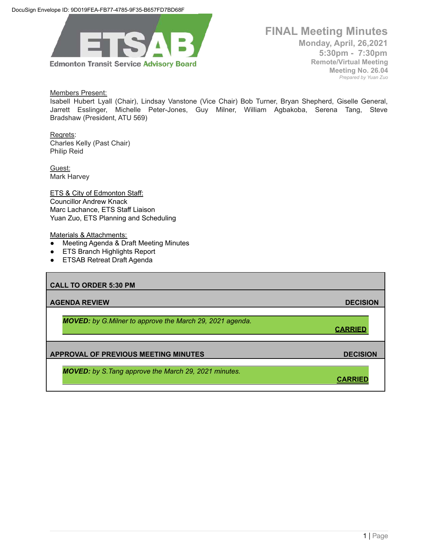

**FINAL Meeting Minutes Monday, April, 26,2021 5:30pm - 7:30pm Remote/Virtual Meeting Meeting No. 26.04** *Prepared by Yuan Zuo*

Members Present:

Isabell Hubert Lyall (Chair), Lindsay Vanstone (Vice Chair) Bob Turner, Bryan Shepherd, Giselle General, Jarrett Esslinger, Michelle Peter-Jones, Guy Milner, William Agbakoba, Serena Tang, Steve Bradshaw (President, ATU 569)

Regrets: Charles Kelly (Past Chair) Philip Reid

Guest: Mark Harvey

**ETS & City of Edmonton Staff:** Councillor Andrew Knack Marc Lachance, ETS Staff Liaison Yuan Zuo, ETS Planning and Scheduling

Materials & Attachments:

- Meeting Agenda & Draft Meeting Minutes
- ETS Branch Highlights Report
- ETSAB Retreat Draft Agenda

| <b>CALL TO ORDER 5:30 PM</b>                                     |                 |
|------------------------------------------------------------------|-----------------|
| <b>AGENDA REVIEW</b>                                             | <b>DECISION</b> |
| <b>MOVED:</b> by G. Milner to approve the March 29, 2021 agenda. | <b>CARRIED</b>  |
| <b>APPROVAL OF PREVIOUS MEETING MINUTES</b>                      | <b>DECISION</b> |
| <b>MOVED:</b> by S. Tang approve the March 29, 2021 minutes.     | <b>CARR</b>     |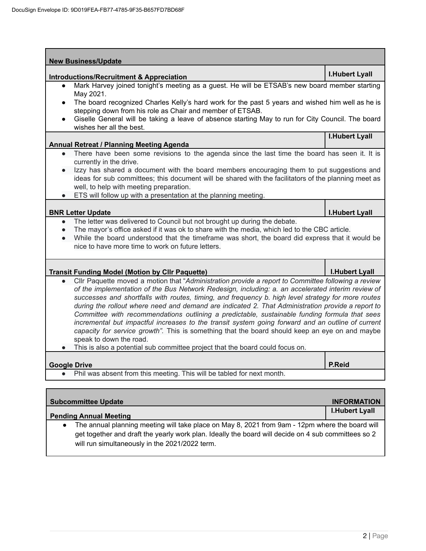| <b>Introductions/Recruitment &amp; Appreciation</b>                                                                                                                                                 | <b>I.Hubert Lyall</b> |
|-----------------------------------------------------------------------------------------------------------------------------------------------------------------------------------------------------|-----------------------|
| Mark Harvey joined tonight's meeting as a guest. He will be ETSAB's new board member starting<br>$\bullet$                                                                                          |                       |
| May 2021.                                                                                                                                                                                           |                       |
| The board recognized Charles Kelly's hard work for the past 5 years and wished him well as he is<br>$\bullet$                                                                                       |                       |
| stepping down from his role as Chair and member of ETSAB.                                                                                                                                           |                       |
| Giselle General will be taking a leave of absence starting May to run for City Council. The board<br>$\bullet$<br>wishes her all the best.                                                          |                       |
|                                                                                                                                                                                                     | <b>I.Hubert Lyall</b> |
| <b>Annual Retreat / Planning Meeting Agenda</b>                                                                                                                                                     |                       |
| There have been some revisions to the agenda since the last time the board has seen it. It is<br>$\bullet$                                                                                          |                       |
| currently in the drive.                                                                                                                                                                             |                       |
| Izzy has shared a document with the board members encouraging them to put suggestions and                                                                                                           |                       |
| ideas for sub committees; this document will be shared with the facilitators of the planning meet as                                                                                                |                       |
| well, to help with meeting preparation.                                                                                                                                                             |                       |
| ETS will follow up with a presentation at the planning meeting.                                                                                                                                     |                       |
| <b>BNR Letter Update</b>                                                                                                                                                                            | <b>I.Hubert Lyall</b> |
| The letter was delivered to Council but not brought up during the debate.<br>$\bullet$                                                                                                              |                       |
| The mayor's office asked if it was ok to share with the media, which led to the CBC article.<br>$\bullet$                                                                                           |                       |
| While the board understood that the timeframe was short, the board did express that it would be                                                                                                     |                       |
| nice to have more time to work on future letters.                                                                                                                                                   |                       |
|                                                                                                                                                                                                     |                       |
| <b>Transit Funding Model (Motion by Cllr Paquette)</b><br>Cllr Paquette moved a motion that "Administration provide a report to Committee following a review                                        | <b>I.Hubert Lyall</b> |
| $\bullet$<br>of the implementation of the Bus Network Redesign, including: a. an accelerated interim review of                                                                                      |                       |
| successes and shortfalls with routes, timing, and frequency b. high level strategy for more routes                                                                                                  |                       |
| during the rollout where need and demand are indicated 2. That Administration provide a report to                                                                                                   |                       |
| Committee with recommendations outlining a predictable, sustainable funding formula that sees                                                                                                       |                       |
|                                                                                                                                                                                                     |                       |
|                                                                                                                                                                                                     |                       |
| incremental but impactful increases to the transit system going forward and an outline of current<br>capacity for service growth". This is something that the board should keep an eye on and maybe |                       |
| speak to down the road.                                                                                                                                                                             |                       |
| This is also a potential sub committee project that the board could focus on.                                                                                                                       |                       |
|                                                                                                                                                                                                     |                       |
|                                                                                                                                                                                                     | <b>P.Reid</b>         |
| <b>Google Drive</b>                                                                                                                                                                                 |                       |
| Phil was absent from this meeting. This will be tabled for next month.<br>$\bullet$                                                                                                                 |                       |
| <b>Subcommittee Update</b>                                                                                                                                                                          | <b>INFORMATION</b>    |

- **Pending Annual Meeting**
	- The annual planning meeting will take place on May 8, 2021 from 9am 12pm where the board will get together and draft the yearly work plan. Ideally the board will decide on 4 sub committees so 2 will run simultaneously in the 2021/2022 term.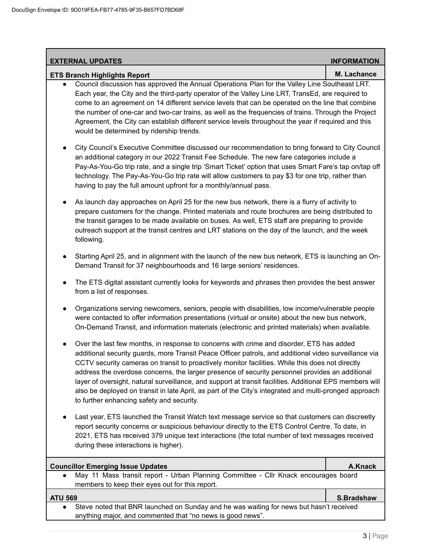| <b>EXTERNAL UPDATES</b>                                                                                                                                                                                                                                                                                                                                                                                                                                                                                                                                                                                                                                                                  | <b>INFORMATION</b> |
|------------------------------------------------------------------------------------------------------------------------------------------------------------------------------------------------------------------------------------------------------------------------------------------------------------------------------------------------------------------------------------------------------------------------------------------------------------------------------------------------------------------------------------------------------------------------------------------------------------------------------------------------------------------------------------------|--------------------|
| <b>ETS Branch Highlights Report</b>                                                                                                                                                                                                                                                                                                                                                                                                                                                                                                                                                                                                                                                      | M. Lachance        |
| Council discussion has approved the Annual Operations Plan for the Valley Line Southeast LRT.<br>Each year, the City and the third-party operator of the Valley Line LRT, TransEd, are required to<br>come to an agreement on 14 different service levels that can be operated on the line that combine<br>the number of one-car and two-car trains, as well as the frequencies of trains. Through the Project<br>Agreement, the City can establish different service levels throughout the year if required and this<br>would be determined by ridership trends.                                                                                                                        |                    |
| City Council's Executive Committee discussed our recommendation to bring forward to City Council<br>٠<br>an additional category in our 2022 Transit Fee Schedule. The new fare categories include a<br>Pay-As-You-Go trip rate, and a single trip 'Smart Ticket' option that uses Smart Fare's tap on/tap off<br>technology. The Pay-As-You-Go trip rate will allow customers to pay \$3 for one trip, rather than<br>having to pay the full amount upfront for a monthly/annual pass.                                                                                                                                                                                                   |                    |
| As launch day approaches on April 25 for the new bus network, there is a flurry of activity to<br>$\bullet$<br>prepare customers for the change. Printed materials and route brochures are being distributed to<br>the transit garages to be made available on buses. As well, ETS staff are preparing to provide<br>outreach support at the transit centres and LRT stations on the day of the launch, and the week<br>following.                                                                                                                                                                                                                                                       |                    |
| Starting April 25, and in alignment with the launch of the new bus network, ETS is launching an On-<br>$\bullet$<br>Demand Transit for 37 neighbourhoods and 16 large seniors' residences.                                                                                                                                                                                                                                                                                                                                                                                                                                                                                               |                    |
| The ETS digital assistant currently looks for keywords and phrases then provides the best answer<br>$\bullet$<br>from a list of responses.                                                                                                                                                                                                                                                                                                                                                                                                                                                                                                                                               |                    |
| Organizations serving newcomers, seniors, people with disabilities, low income/vulnerable people<br>٠<br>were contacted to offer information presentations (virtual or onsite) about the new bus network,<br>On-Demand Transit, and information materials (electronic and printed materials) when available.                                                                                                                                                                                                                                                                                                                                                                             |                    |
| Over the last few months, in response to concerns with crime and disorder, ETS has added<br>$\bullet$<br>additional security guards, more Transit Peace Officer patrols, and additional video surveillance via<br>CCTV security cameras on transit to proactively monitor facilities. While this does not directly<br>address the overdose concerns, the larger presence of security personnel provides an additional<br>layer of oversight, natural surveillance, and support at transit facilities. Additional EPS members will<br>also be deployed on transit in late April, as part of the City's integrated and multi-pronged approach<br>to further enhancing safety and security. |                    |
| Last year, ETS launched the Transit Watch text message service so that customers can discreetly<br>report security concerns or suspicious behaviour directly to the ETS Control Centre. To date, in<br>2021, ETS has received 379 unique text interactions (the total number of text messages received<br>during these interactions is higher).                                                                                                                                                                                                                                                                                                                                          |                    |
| <b>Councillor Emerging Issue Updates</b>                                                                                                                                                                                                                                                                                                                                                                                                                                                                                                                                                                                                                                                 | A.Knack            |
| May 11 Mass transit report - Urban Planning Committee - Cllr Knack encourages board<br>members to keep their eyes out for this report.                                                                                                                                                                                                                                                                                                                                                                                                                                                                                                                                                   |                    |
| <b>ATU 569</b>                                                                                                                                                                                                                                                                                                                                                                                                                                                                                                                                                                                                                                                                           | S.Bradshaw         |
| Steve noted that BNR launched on Sunday and he was waiting for news but hasn't received<br>anything major, and commented that "no news is good news".                                                                                                                                                                                                                                                                                                                                                                                                                                                                                                                                    |                    |
|                                                                                                                                                                                                                                                                                                                                                                                                                                                                                                                                                                                                                                                                                          |                    |